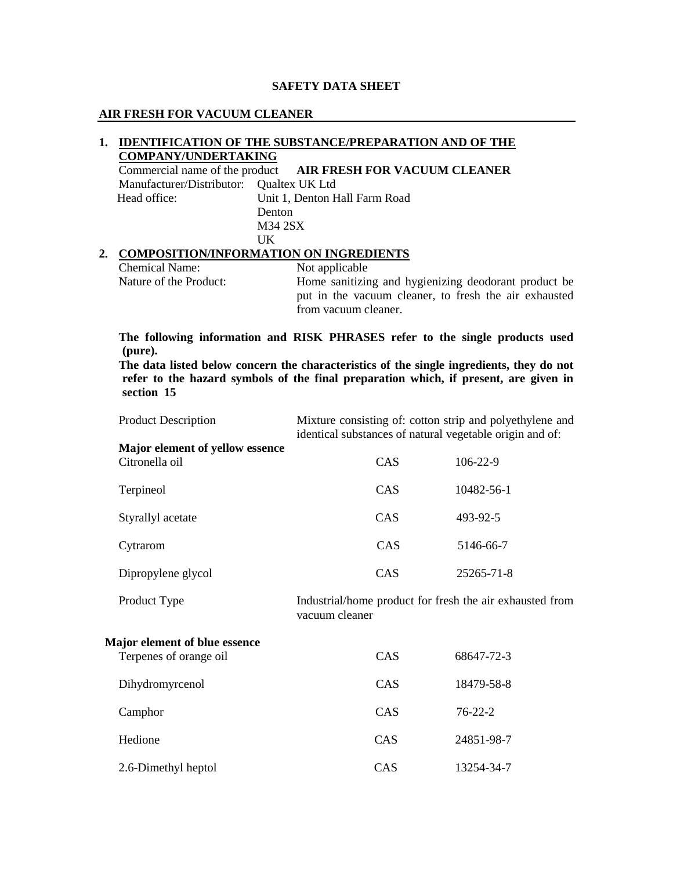### **SAFETY DATA SHEET**

### **AIR FRESH FOR VACUUM CLEANER**

### **1. IDENTIFICATION OF THE SUBSTANCE/PREPARATION AND OF THE COMPANY/UNDERTAKING**

Commercial name of the product **AIR FRESH FOR VACUUM CLEANER** Manufacturer/Distributor: Qualtex UK Ltd Head office: Unit 1, Denton Hall Farm Road Denton M34 2SX UK

## **2. COMPOSITION/INFORMATION ON INGREDIENTS**

Chemical Name: Not applicable

Nature of the Product: Home sanitizing and hygienizing deodorant product be put in the vacuum cleaner, to fresh the air exhausted from vacuum cleaner.

**The following information and RISK PHRASES refer to the single products used (pure).** 

**The data listed below concern the characteristics of the single ingredients, they do not refer to the hazard symbols of the final preparation which, if present, are given in section 15** 

| <b>Product Description</b>                        | Mixture consisting of: cotton strip and polyethylene and<br>identical substances of natural vegetable origin and of: |                |
|---------------------------------------------------|----------------------------------------------------------------------------------------------------------------------|----------------|
| Major element of yellow essence<br>Citronella oil | CAS                                                                                                                  | $106 - 22 - 9$ |
| Terpineol                                         | CAS                                                                                                                  | 10482-56-1     |
| Styrallyl acetate                                 | CAS                                                                                                                  | 493-92-5       |

Cytrarom CAS 5146-66-7

| Dipropylene glycol | CAS | 25265-71-8 |
|--------------------|-----|------------|
|--------------------|-----|------------|

Product Type Industrial/home product for fresh the air exhausted from vacuum cleaner

## **Major element of blue essence**

| Terpenes of orange oil | CAS        | 68647-72-3    |
|------------------------|------------|---------------|
| Dihydromyrcenol        | CAS        | 18479-58-8    |
| Camphor                | <b>CAS</b> | $76 - 22 - 2$ |
| Hedione                | <b>CAS</b> | 24851-98-7    |
| 2.6-Dimethyl heptol    | <b>CAS</b> | 13254-34-7    |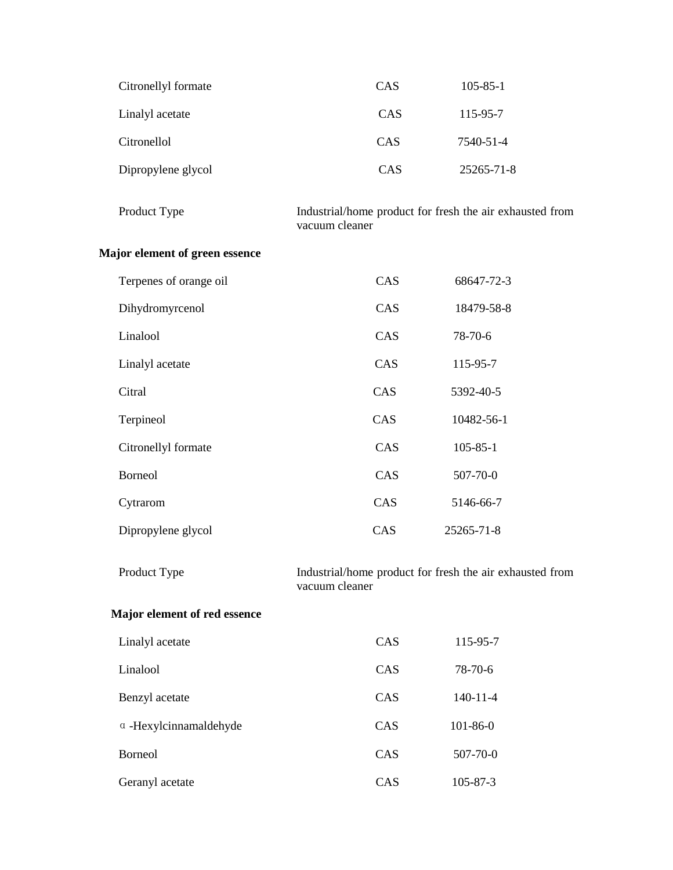| Citronellyl formate | CAS | $105 - 85 - 1$ |
|---------------------|-----|----------------|
| Linalyl acetate     | CAS | 115-95-7       |
| Citronellol         | CAS | 7540-51-4      |
| Dipropylene glycol  | CAS | 25265-71-8     |

| Product Type | Industrial/home product for fresh the air exhausted from |
|--------------|----------------------------------------------------------|
|              | vacuum cleaner                                           |

# **Major element of green essence**

| Terpenes of orange oil | <b>CAS</b> | 68647-72-3     |
|------------------------|------------|----------------|
| Dihydromyrcenol        | <b>CAS</b> | 18479-58-8     |
| Linalool               | CAS        | 78-70-6        |
| Linalyl acetate        | CAS        | 115-95-7       |
| Citral                 | CAS        | 5392-40-5      |
| Terpineol              | CAS        | 10482-56-1     |
| Citronellyl formate    | CAS        | $105 - 85 - 1$ |
| <b>Borneol</b>         | CAS        | 507-70-0       |
| Cytrarom               | CAS        | 5146-66-7      |
| Dipropylene glycol     | CAS        | 25265-71-8     |

Product Type Industrial/home product for fresh the air exhausted from vacuum cleaner

# **Major element of red essence**

| Linalyl acetate               | CAS        | 115-95-7       |
|-------------------------------|------------|----------------|
| Linalool                      | CAS        | 78-70-6        |
| Benzyl acetate                | <b>CAS</b> | $140 - 11 - 4$ |
| $\alpha$ -Hexylcinnamaldehyde | <b>CAS</b> | $101 - 86 - 0$ |
| <b>Borneol</b>                | <b>CAS</b> | 507-70-0       |
| Geranyl acetate               | <b>CAS</b> | 105-87-3       |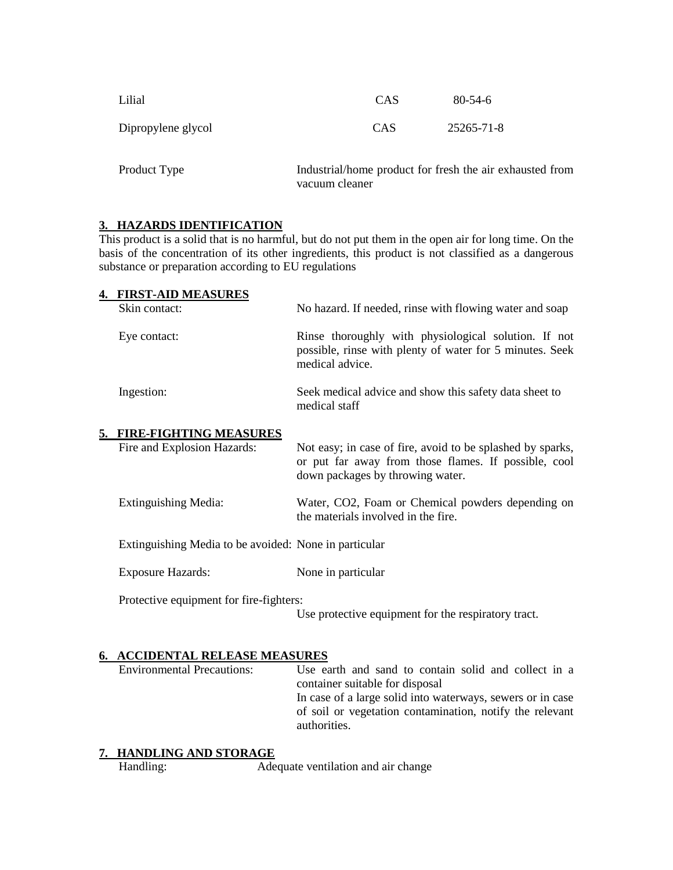| Lilial             | CAS        | $80 - 54 - 6$                                            |  |
|--------------------|------------|----------------------------------------------------------|--|
| Dipropylene glycol | <b>CAS</b> | 25265-71-8                                               |  |
| Product Type       |            | Industrial/home product for fresh the air exhausted from |  |

vacuum cleaner

### **3. HAZARDS IDENTIFICATION**

This product is a solid that is no harmful, but do not put them in the open air for long time. On the basis of the concentration of its other ingredients, this product is not classified as a dangerous substance or preparation according to EU regulations

| <b>4. FIRST-AID MEASURES</b> |                                                                                                                                     |
|------------------------------|-------------------------------------------------------------------------------------------------------------------------------------|
| Skin contact:                | No hazard. If needed, rinse with flowing water and soap                                                                             |
| Eye contact:                 | Rinse thoroughly with physiological solution. If not<br>possible, rinse with plenty of water for 5 minutes. Seek<br>medical advice. |
| Ingestion:                   | Seek medical advice and show this safety data sheet to<br>medical staff                                                             |

#### **5. FIRE-FIGHTING MEASURES**

| Fire and Explosion Hazards:                           | Not easy; in case of fire, avoid to be splashed by sparks,<br>or put far away from those flames. If possible, cool<br>down packages by throwing water. |
|-------------------------------------------------------|--------------------------------------------------------------------------------------------------------------------------------------------------------|
| Extinguishing Media:                                  | Water, CO2, Foam or Chemical powders depending on<br>the materials involved in the fire.                                                               |
| Extinguishing Media to be avoided: None in particular |                                                                                                                                                        |

Exposure Hazards: None in particular

Protective equipment for fire-fighters:

Use protective equipment for the respiratory tract.

#### **6. ACCIDENTAL RELEASE MEASURES**

| <b>Environmental Precautions:</b> | Use earth and sand to contain solid and collect in a       |
|-----------------------------------|------------------------------------------------------------|
|                                   | container suitable for disposal                            |
|                                   | In case of a large solid into waterways, sewers or in case |
|                                   | of soil or vegetation contamination, notify the relevant   |
|                                   | authorities.                                               |
|                                   |                                                            |

# **7. HANDLING AND STORAGE**

Handling: Adequate ventilation and air change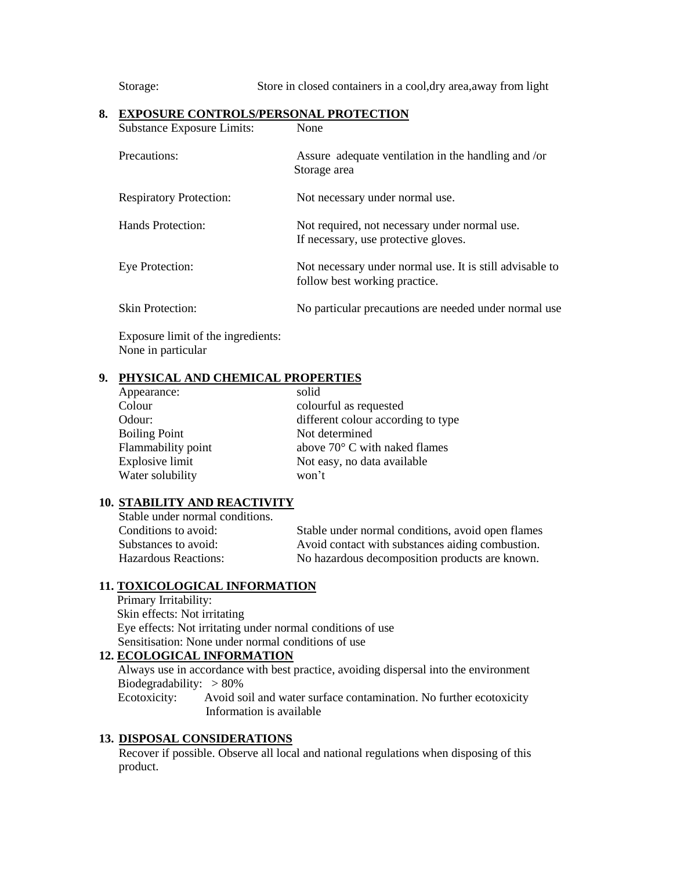Storage: Store in closed containers in a cool,dry area,away from light

| <b>Substance Exposure Limits:</b> | None                                                                                      |
|-----------------------------------|-------------------------------------------------------------------------------------------|
| Precautions:                      | Assure adequate ventilation in the handling and /or<br>Storage area                       |
| <b>Respiratory Protection:</b>    | Not necessary under normal use.                                                           |
| Hands Protection:                 | Not required, not necessary under normal use.<br>If necessary, use protective gloves.     |
| Eye Protection:                   | Not necessary under normal use. It is still advisable to<br>follow best working practice. |
| <b>Skin Protection:</b>           | No particular precautions are needed under normal use                                     |
|                                   |                                                                                           |

#### **8. EXPOSURE CONTROLS/PERSONAL PROTECTION**

Exposure limit of the ingredients: None in particular

### **9. PHYSICAL AND CHEMICAL PROPERTIES**

# **10. STABILITY AND REACTIVITY**

| Stable under normal conditions. |                                                   |
|---------------------------------|---------------------------------------------------|
| Conditions to avoid:            | Stable under normal conditions, avoid open flames |
| Substances to avoid:            | Avoid contact with substances aiding combustion.  |
| <b>Hazardous Reactions:</b>     | No hazardous decomposition products are known.    |
|                                 |                                                   |

# **11. TOXICOLOGICAL INFORMATION**

 Primary Irritability: Skin effects: Not irritating Eye effects: Not irritating under normal conditions of use Sensitisation: None under normal conditions of use

# **12. ECOLOGICAL INFORMATION**

Always use in accordance with best practice, avoiding dispersal into the environment Biodegradability:  $> 80\%$ Ecotoxicity: Avoid soil and water surface contamination. No further ecotoxicity

Information is available

# **13. DISPOSAL CONSIDERATIONS**

Recover if possible. Observe all local and national regulations when disposing of this product.